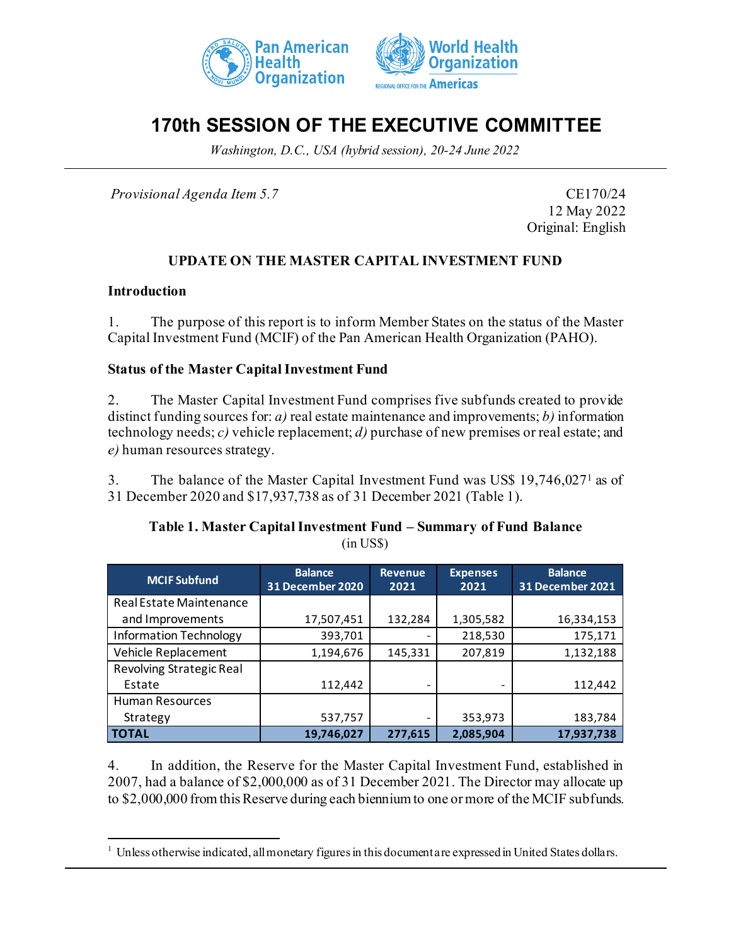



# **170th SESSION OF THE EXECUTIVE COMMITTEE**

*Washington, D.C., USA (hybrid session), 20-24 June 2022*

*Provisional Agenda Item 5.7* CE170/24

12 May 2022 Original: English

## **UPDATE ON THE MASTER CAPITAL INVESTMENT FUND**

### **Introduction**

1. The purpose of this report is to inform Member States on the status of the Master Capital Investment Fund (MCIF) of the Pan American Health Organization (PAHO).

### **Status of the Master Capital Investment Fund**

2. The Master Capital Investment Fund comprises five subfunds created to provide distinct funding sources for: *a)* real estate maintenance and improvements; *b)* information technology needs; *c)* vehicle replacement; *d)* purchase of new premises or real estate; and *e)* human resources strategy.

3. The balance of the Master Capital Investment Fund was US\$ 19,746,027[1](#page-0-0) as of 31 December 2020 and \$17,937,738 as of 31 December 2021 (Table 1).

### **Table 1. Master Capital Investment Fund – Summary of Fund Balance** (in US\$)

| <b>MCIF Subfund</b>           | <b>Balance</b><br>31 December 2020 | <b>Revenue</b><br>2021 | <b>Expenses</b><br>2021 | <b>Balance</b><br><b>31 December 2021</b> |
|-------------------------------|------------------------------------|------------------------|-------------------------|-------------------------------------------|
| Real Estate Maintenance       |                                    |                        |                         |                                           |
| and Improvements              | 17,507,451                         | 132,284                | 1,305,582               | 16,334,153                                |
| <b>Information Technology</b> | 393,701                            |                        | 218,530                 | 175,171                                   |
| Vehicle Replacement           | 1,194,676                          | 145,331                | 207,819                 | 1,132,188                                 |
| Revolving Strategic Real      |                                    |                        |                         |                                           |
| Estate                        | 112,442                            |                        |                         | 112,442                                   |
| <b>Human Resources</b>        |                                    |                        |                         |                                           |
| Strategy                      | 537,757                            | -                      | 353,973                 | 183,784                                   |
| <b>TOTAL</b>                  | 19,746,027                         | 277.615                | 2,085,904               | 17,937,738                                |

4. In addition, the Reserve for the Master Capital Investment Fund, established in 2007, had a balance of \$2,000,000 as of 31 December 2021. The Director may allocate up to \$2,000,000 from this Reserve during each biennium to one or more of the MCIF subfunds.

<span id="page-0-0"></span><sup>&</sup>lt;sup>1</sup> Unless otherwise indicated, all monetary figures in this document are expressed in United States dollars.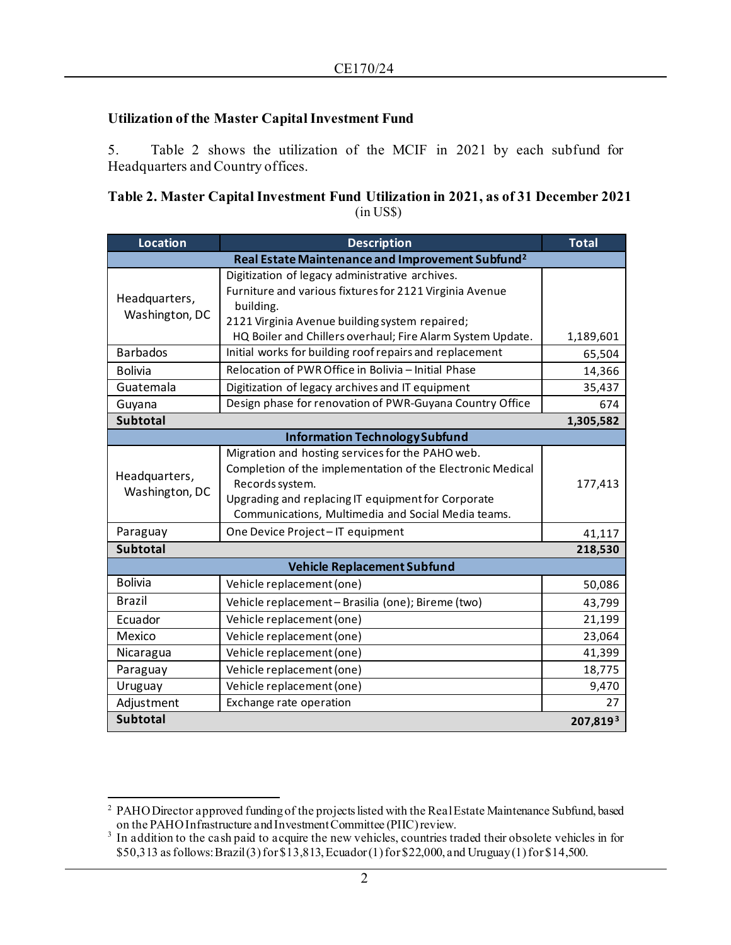## **Utilization of the Master Capital Investment Fund**

5. Table 2 shows the utilization of the MCIF in 2021 by each subfund for Headquarters and Country offices.

**Table 2. Master Capital Investment Fund Utilization in 2021, as of 31 December 2021** (in US\$)

| <b>Location</b>                                              | <b>Description</b>                                                                                                                                                                                                                            | <b>Total</b> |  |  |
|--------------------------------------------------------------|-----------------------------------------------------------------------------------------------------------------------------------------------------------------------------------------------------------------------------------------------|--------------|--|--|
| Real Estate Maintenance and Improvement Subfund <sup>2</sup> |                                                                                                                                                                                                                                               |              |  |  |
| Headquarters,<br>Washington, DC                              | Digitization of legacy administrative archives.<br>Furniture and various fixtures for 2121 Virginia Avenue<br>building.<br>2121 Virginia Avenue building system repaired;<br>HQ Boiler and Chillers overhaul; Fire Alarm System Update.       | 1,189,601    |  |  |
| <b>Barbados</b>                                              | Initial works for building roof repairs and replacement                                                                                                                                                                                       | 65,504       |  |  |
| <b>Bolivia</b>                                               | Relocation of PWR Office in Bolivia - Initial Phase                                                                                                                                                                                           | 14,366       |  |  |
| Guatemala                                                    | Digitization of legacy archives and IT equipment                                                                                                                                                                                              | 35,437       |  |  |
| Guyana                                                       | Design phase for renovation of PWR-Guyana Country Office                                                                                                                                                                                      | 674          |  |  |
| <b>Subtotal</b><br>1,305,582                                 |                                                                                                                                                                                                                                               |              |  |  |
| <b>Information Technology Subfund</b>                        |                                                                                                                                                                                                                                               |              |  |  |
| Headquarters,<br>Washington, DC                              | Migration and hosting services for the PAHO web.<br>Completion of the implementation of the Electronic Medical<br>Records system.<br>Upgrading and replacing IT equipment for Corporate<br>Communications, Multimedia and Social Media teams. | 177,413      |  |  |
| Paraguay                                                     | One Device Project-IT equipment                                                                                                                                                                                                               | 41,117       |  |  |
| <b>Subtotal</b><br>218,530                                   |                                                                                                                                                                                                                                               |              |  |  |
| <b>Vehicle Replacement Subfund</b>                           |                                                                                                                                                                                                                                               |              |  |  |
| <b>Bolivia</b>                                               | Vehicle replacement (one)                                                                                                                                                                                                                     | 50,086       |  |  |
| <b>Brazil</b>                                                | Vehicle replacement - Brasilia (one); Bireme (two)                                                                                                                                                                                            | 43,799       |  |  |
| Ecuador                                                      | Vehicle replacement (one)                                                                                                                                                                                                                     | 21,199       |  |  |
| Mexico                                                       | Vehicle replacement (one)                                                                                                                                                                                                                     | 23,064       |  |  |
| Nicaragua                                                    | Vehicle replacement (one)                                                                                                                                                                                                                     | 41,399       |  |  |
| Paraguay                                                     | Vehicle replacement (one)                                                                                                                                                                                                                     | 18,775       |  |  |
| Uruguay                                                      | Vehicle replacement (one)                                                                                                                                                                                                                     | 9,470        |  |  |
| Adjustment                                                   | Exchange rate operation                                                                                                                                                                                                                       | 27           |  |  |
| <b>Subtotal</b>                                              |                                                                                                                                                                                                                                               | 207,8193     |  |  |

<span id="page-1-0"></span><sup>&</sup>lt;sup>2</sup> PAHO Director approved funding of the projects listed with the Real Estate Maintenance Subfund, based on the PAHO Infrastructure and Investment Committee (PIIC) review.<br><sup>3</sup> In addition to the cash paid to acquire the new vehicles, countries traded their obsolete vehicles in for

<span id="page-1-1"></span><sup>\$50,313</sup> as follows: Brazil (3) for \$13,813, Ecuador (1) for \$22,000, and Uruguay (1) for \$14,500.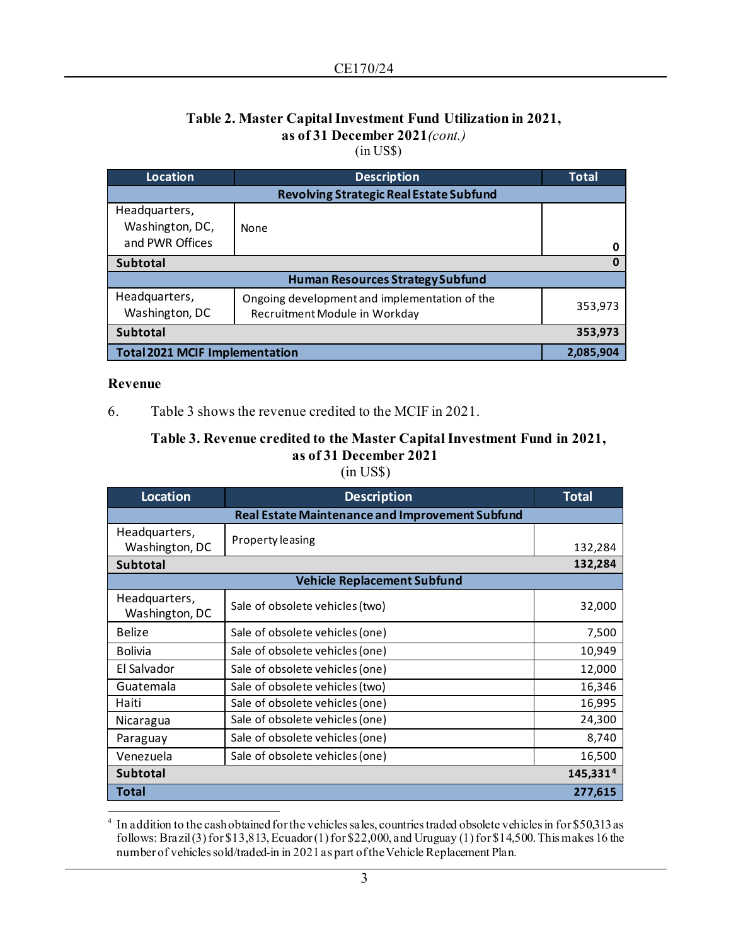## **Table 2. Master Capital Investment Fund Utilization in 2021, as of 31 December 2021***(cont.)*

(in US\$)

| Location                                            | <b>Description</b>                                                             | <b>Total</b> |  |  |
|-----------------------------------------------------|--------------------------------------------------------------------------------|--------------|--|--|
| <b>Revolving Strategic Real Estate Subfund</b>      |                                                                                |              |  |  |
| Headquarters,<br>Washington, DC,<br>and PWR Offices | None                                                                           |              |  |  |
| <b>Subtotal</b>                                     |                                                                                | O<br>O       |  |  |
|                                                     |                                                                                |              |  |  |
| <b>Human Resources Strategy Subfund</b>             |                                                                                |              |  |  |
| Headquarters,<br>Washington, DC                     | Ongoing development and implementation of the<br>Recruitment Module in Workday | 353,973      |  |  |
| <b>Subtotal</b>                                     |                                                                                | 353,973      |  |  |
| <b>Total 2021 MCIF Implementation</b>               |                                                                                | 2,085,904    |  |  |

### **Revenue**

6. Table 3 shows the revenue credited to the MCIF in 2021.

### **Table 3. Revenue credited to the Master Capital Investment Fund in 2021, as of 31 December 2021** (in US\$)

| <b>Location</b>                                        | <b>Description</b>              | <b>Total</b> |  |  |
|--------------------------------------------------------|---------------------------------|--------------|--|--|
| <b>Real Estate Maintenance and Improvement Subfund</b> |                                 |              |  |  |
| Headquarters,<br>Washington, DC                        | Property leasing                | 132,284      |  |  |
| <b>Subtotal</b>                                        | 132,284                         |              |  |  |
| <b>Vehicle Replacement Subfund</b>                     |                                 |              |  |  |
| Headquarters,<br>Washington, DC                        | Sale of obsolete vehicles (two) | 32,000       |  |  |
| Belize                                                 | Sale of obsolete vehicles (one) | 7,500        |  |  |
| <b>Bolivia</b>                                         | Sale of obsolete vehicles (one) | 10,949       |  |  |
| El Salvador                                            | Sale of obsolete vehicles (one) | 12,000       |  |  |
| Guatemala                                              | Sale of obsolete vehicles (two) | 16,346       |  |  |
| Haiti                                                  | Sale of obsolete vehicles (one) | 16,995       |  |  |
| Nicaragua                                              | Sale of obsolete vehicles (one) | 24,300       |  |  |
| Paraguay                                               | Sale of obsolete vehicles (one) | 8,740        |  |  |
| Venezuela                                              | Sale of obsolete vehicles (one) | 16,500       |  |  |
| 145,331 <sup>4</sup><br><b>Subtotal</b>                |                                 |              |  |  |
| Total                                                  |                                 | 277,615      |  |  |

<span id="page-2-0"></span><sup>&</sup>lt;sup>4</sup> In addition to the cash obtained for the vehicles sales, countries traded obsolete vehicles in for \$50,313 as follows: Brazil (3) for \$13,813, Ecuador (1) for \$22,000, and Uruguay (1) for \$14,500. This makes 16 the number of vehicles sold/traded-in in 2021 as part of the Vehicle Replacement Plan.